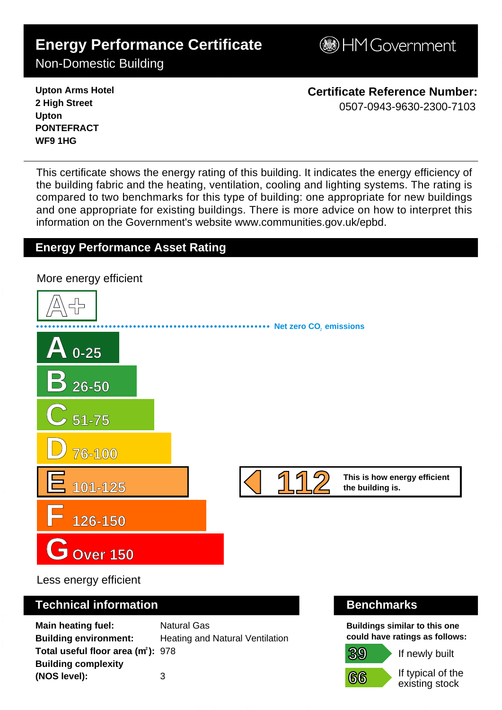# **Energy Performance Certificate**

Non-Domestic Building

**B**HM Government

**Upton Arms Hotel 2 High Street Upton PONTEFRACT WF9 1HG**

**Certificate Reference Number:** 0507-0943-9630-2300-7103

This certificate shows the energy rating of this building. It indicates the energy efficiency of the building fabric and the heating, ventilation, cooling and lighting systems. The rating is compared to two benchmarks for this type of building: one appropriate for new buildings and one appropriate for existing buildings. There is more advice on how to interpret this information on the Government's websit[e www.communities.gov.uk/epbd.](http://www.communities.gov.uk/epbd)

## **Energy Performance Asset Rating**

**A+ A 0-25 B 26-50 C 51-75 D 76-100 E 101-125 F 126-150 GOver 150 This is how energy efficient 112 the building is. Net zero CO**, emissions More energy efficient 1 1 2 - 0 5 0 7 - 0 9 4 3 - 9 6 3 0 - 2 3 0 0 - 7 1 0 3 - S K 5 2 4 5 4 2 0 1 0 8 1 0 - D C L G x E P C g e n 2 0 0

Less energy efficient

### **Technical information Benchmarks**

**Main heating fuel:** Natural Gas **Building environment:** Heating and Natural Ventilation **Total useful floor area (m<sup>2</sup>): 978 Building complexity (NOS level):** 3

**Buildings similar to this one could have ratings as follows:**

**39 66**

If newly built

If typical of the existing stock